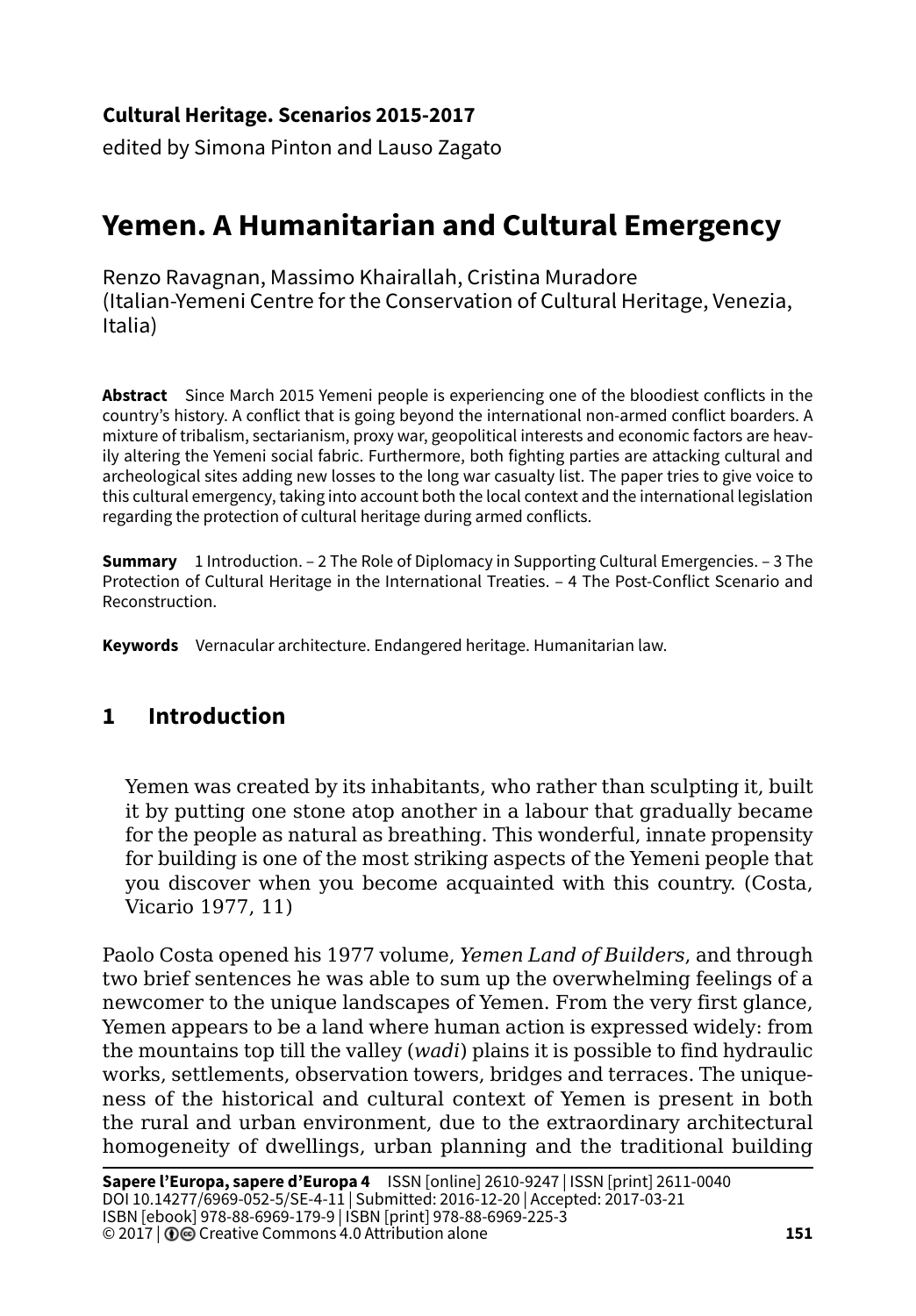#### **Cultural Heritage. Scenarios 2015-2017**

edited by Simona Pinton and Lauso Zagato

# **Yemen. A Humanitarian and Cultural Emergency**

Renzo Ravagnan, Massimo Khairallah, Cristina Muradore (Italian-Yemeni Centre for the Conservation of Cultural Heritage, Venezia, Italia)

**Abstract** Since March 2015 Yemeni people is experiencing one of the bloodiest conflicts in the country's history. A conflict that is going beyond the international non-armed conflict boarders. A mixture of tribalism, sectarianism, proxy war, geopolitical interests and economic factors are heavily altering the Yemeni social fabric. Furthermore, both fighting parties are attacking cultural and archeological sites adding new losses to the long war casualty list. The paper tries to give voice to this cultural emergency, taking into account both the local context and the international legislation regarding the protection of cultural heritage during armed conflicts.

**Summary** 1 Introduction. – 2 The Role of Diplomacy in Supporting Cultural Emergencies. – 3 The Protection of Cultural Heritage in the International Treaties. – 4 The Post-Conflict Scenario and Reconstruction.

**Keywords** Vernacular architecture. Endangered heritage. Humanitarian law.

## **1 Introduction**

Yemen was created by its inhabitants, who rather than sculpting it, built it by putting one stone atop another in a labour that gradually became for the people as natural as breathing. This wonderful, innate propensity for building is one of the most striking aspects of the Yemeni people that you discover when you become acquainted with this country. (Costa, Vicario 1977, 11)

Paolo Costa opened his 1977 volume, *Yemen Land of Builders*, and through two brief sentences he was able to sum up the overwhelming feelings of a newcomer to the unique landscapes of Yemen. From the very first glance, Yemen appears to be a land where human action is expressed widely: from the mountains top till the valley (*wadi*) plains it is possible to find hydraulic works, settlements, observation towers, bridges and terraces. The uniqueness of the historical and cultural context of Yemen is present in both the rural and urban environment, due to the extraordinary architectural homogeneity of dwellings, urban planning and the traditional building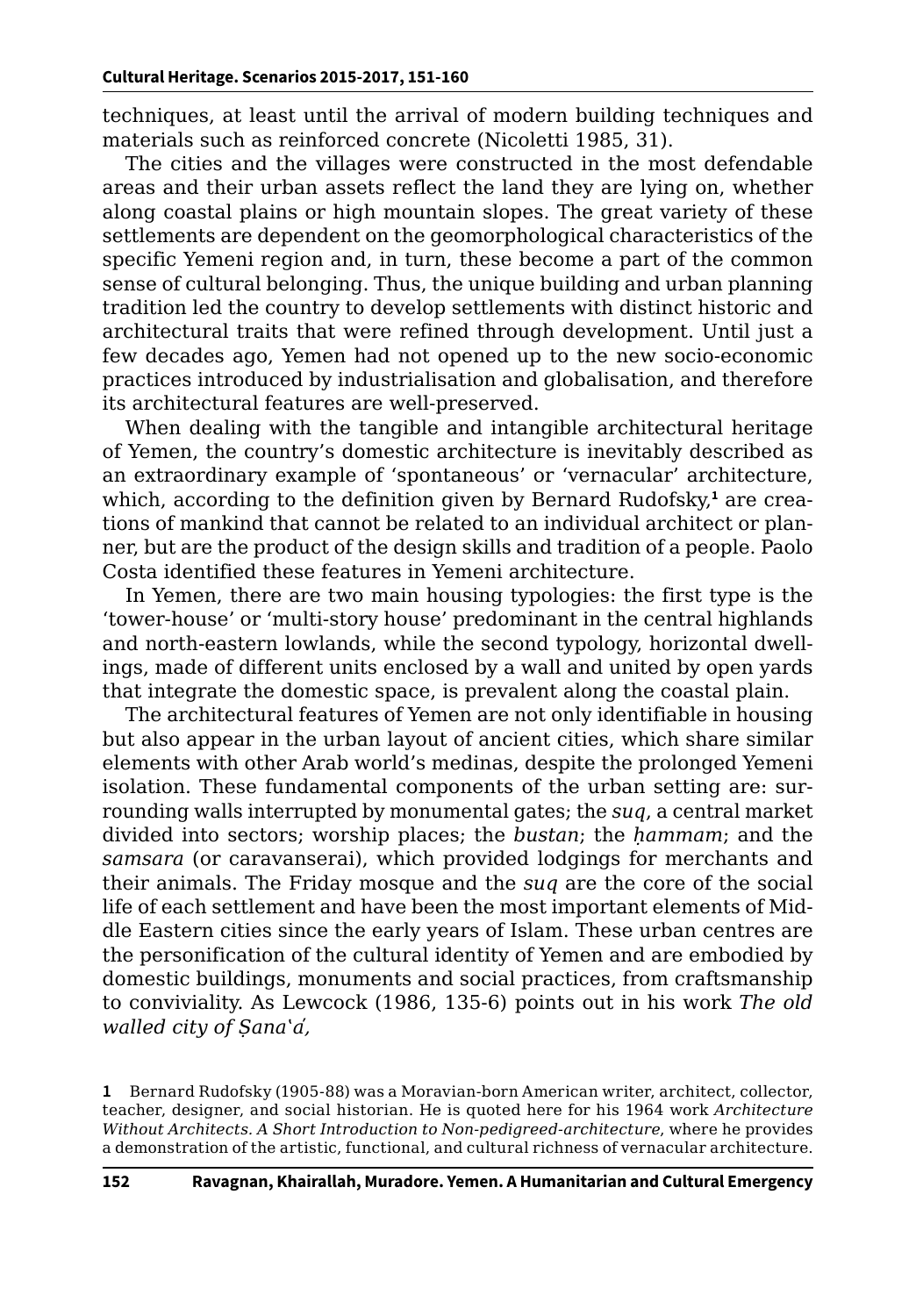techniques, at least until the arrival of modern building techniques and materials such as reinforced concrete (Nicoletti 1985, 31).

The cities and the villages were constructed in the most defendable areas and their urban assets reflect the land they are lying on, whether along coastal plains or high mountain slopes. The great variety of these settlements are dependent on the geomorphological characteristics of the specific Yemeni region and, in turn, these become a part of the common sense of cultural belonging. Thus, the unique building and urban planning tradition led the country to develop settlements with distinct historic and architectural traits that were refined through development. Until just a few decades ago, Yemen had not opened up to the new socio-economic practices introduced by industrialisation and globalisation, and therefore its architectural features are well-preserved.

When dealing with the tangible and intangible architectural heritage of Yemen, the country's domestic architecture is inevitably described as an extraordinary example of 'spontaneous' or 'vernacular' architecture, which, according to the definition given by Bernard Rudofsky,**<sup>1</sup>** are creations of mankind that cannot be related to an individual architect or planner, but are the product of the design skills and tradition of a people. Paolo Costa identified these features in Yemeni architecture.

In Yemen, there are two main housing typologies: the first type is the 'tower-house' or 'multi-story house' predominant in the central highlands and north-eastern lowlands, while the second typology, horizontal dwellings, made of different units enclosed by a wall and united by open yards that integrate the domestic space, is prevalent along the coastal plain.

The architectural features of Yemen are not only identifiable in housing but also appear in the urban layout of ancient cities, which share similar elements with other Arab world's medinas, despite the prolonged Yemeni isolation. These fundamental components of the urban setting are: surrounding walls interrupted by monumental gates; the *suq*, a central market divided into sectors; worship places; the *bustan*; the *ḥammam*; and the *samsara* (or caravanserai), which provided lodgings for merchants and their animals. The Friday mosque and the *suq* are the core of the social life of each settlement and have been the most important elements of Middle Eastern cities since the early years of Islam. These urban centres are the personification of the cultural identity of Yemen and are embodied by domestic buildings, monuments and social practices, from craftsmanship to conviviality. As Lewcock (1986, 135-6) points out in his work *The old walled city of Ṣanaʽa̕,*

**<sup>1</sup>** Bernard Rudofsky (1905-88) was a Moravian-born American writer, architect, collector, teacher, designer, and social historian. He is quoted here for his 1964 work *Architecture Without Architects. A Short Introduction to Non-pedigreed-architecture*, where he provides a demonstration of the artistic, functional, and cultural richness of vernacular architecture.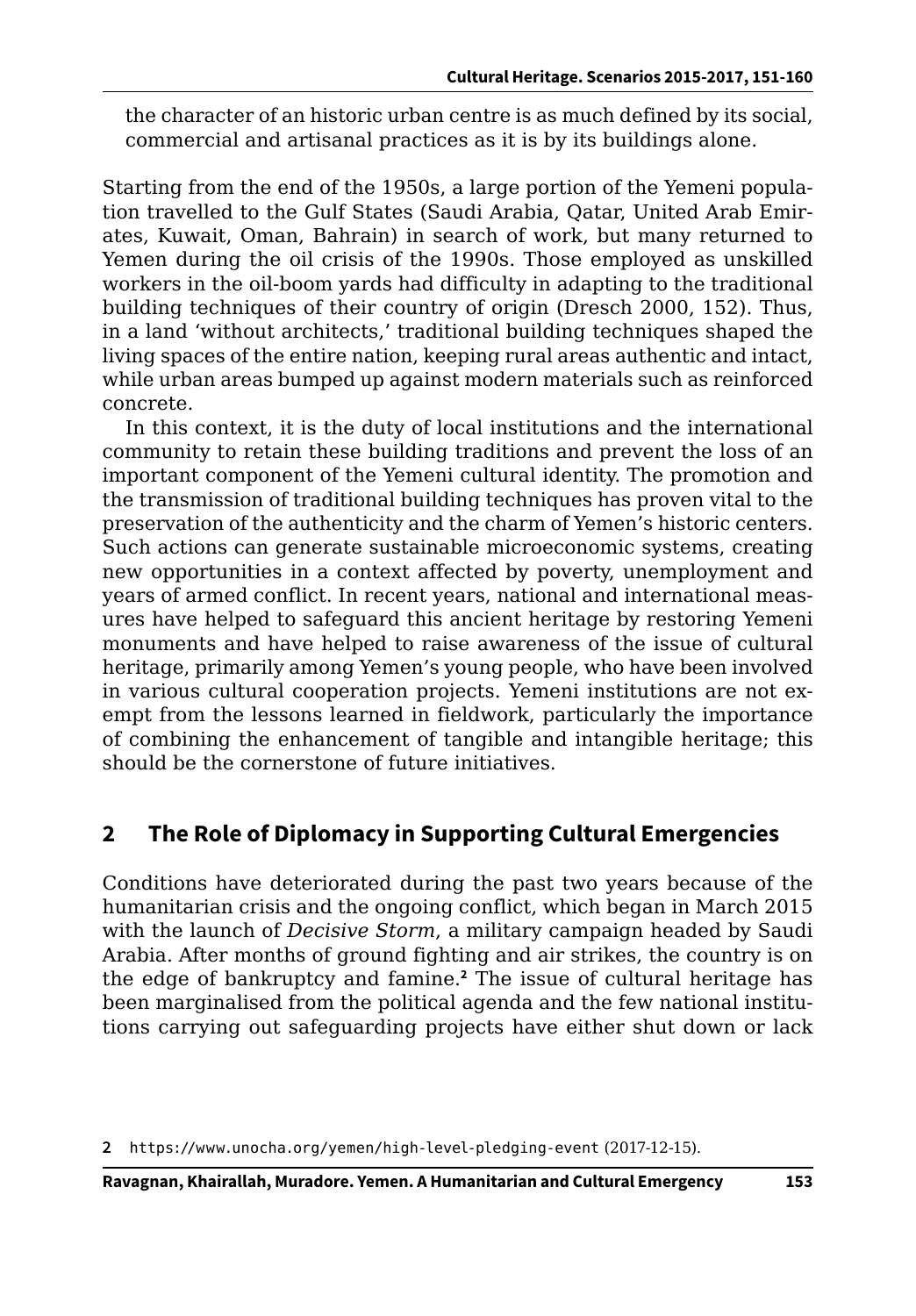the character of an historic urban centre is as much defined by its social, commercial and artisanal practices as it is by its buildings alone.

Starting from the end of the 1950s, a large portion of the Yemeni population travelled to the Gulf States (Saudi Arabia, Qatar, United Arab Emirates, Kuwait, Oman, Bahrain) in search of work, but many returned to Yemen during the oil crisis of the 1990s. Those employed as unskilled workers in the oil-boom yards had difficulty in adapting to the traditional building techniques of their country of origin (Dresch 2000, 152). Thus, in a land 'without architects,' traditional building techniques shaped the living spaces of the entire nation, keeping rural areas authentic and intact, while urban areas bumped up against modern materials such as reinforced concrete.

In this context, it is the duty of local institutions and the international community to retain these building traditions and prevent the loss of an important component of the Yemeni cultural identity. The promotion and the transmission of traditional building techniques has proven vital to the preservation of the authenticity and the charm of Yemen's historic centers. Such actions can generate sustainable microeconomic systems, creating new opportunities in a context affected by poverty, unemployment and years of armed conflict. In recent years, national and international measures have helped to safeguard this ancient heritage by restoring Yemeni monuments and have helped to raise awareness of the issue of cultural heritage, primarily among Yemen's young people, who have been involved in various cultural cooperation projects. Yemeni institutions are not exempt from the lessons learned in fieldwork, particularly the importance of combining the enhancement of tangible and intangible heritage; this should be the cornerstone of future initiatives.

# **2 The Role of Diplomacy in Supporting Cultural Emergencies**

Conditions have deteriorated during the past two years because of the humanitarian crisis and the ongoing conflict, which began in March 2015 with the launch of *Decisive Storm*, a military campaign headed by Saudi Arabia. After months of ground fighting and air strikes, the country is on the edge of bankruptcy and famine.**<sup>2</sup>** The issue of cultural heritage has been marginalised from the political agenda and the few national institutions carrying out safeguarding projects have either shut down or lack

**2** <https://www.unocha.org/yemen/high-level-pledging-event> (2017-12-15).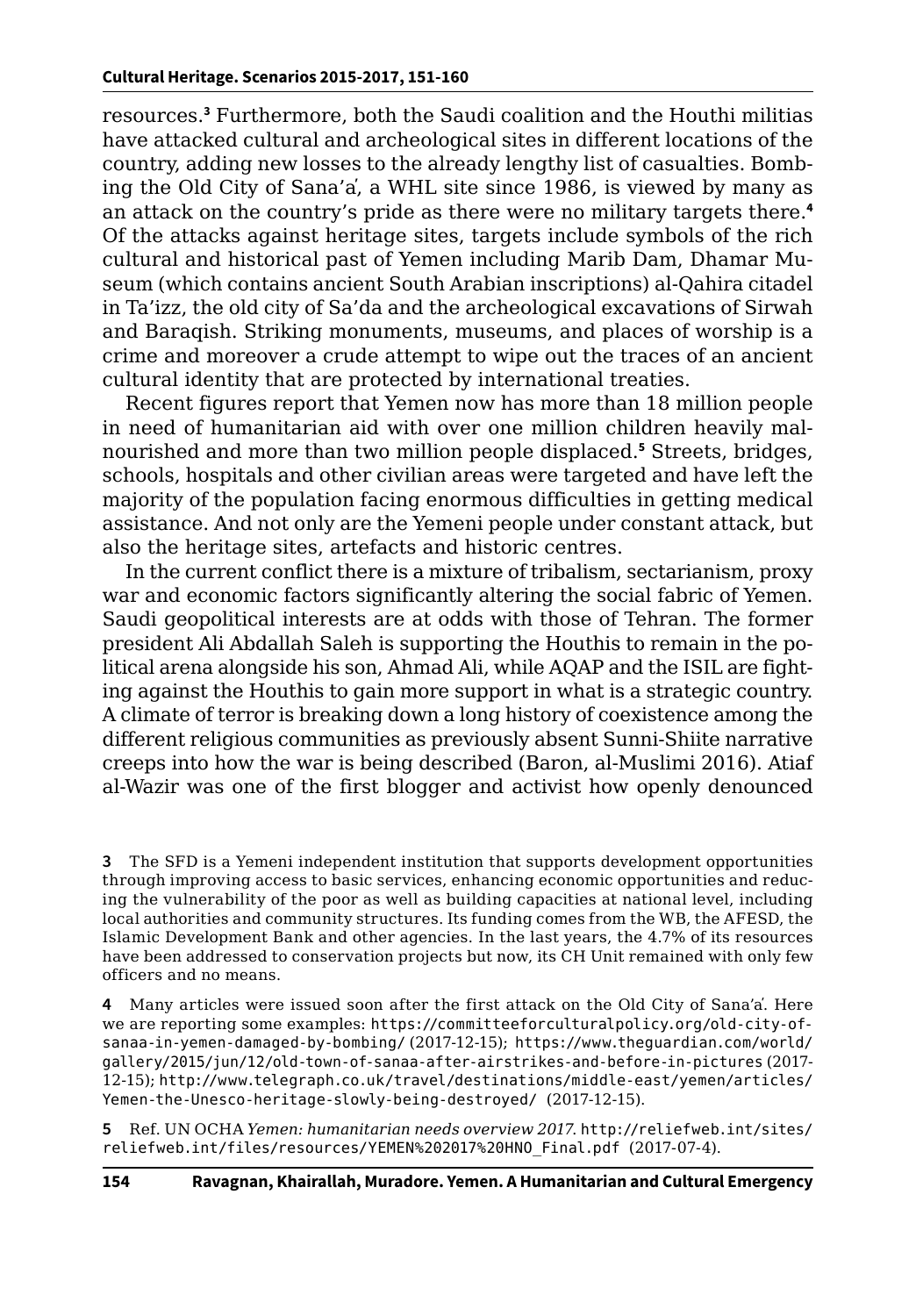resources.**<sup>3</sup>** Furthermore, both the Saudi coalition and the Houthi militias have attacked cultural and archeological sites in different locations of the country, adding new losses to the already lengthy list of casualties. Bombing the Old City of Sana'a̕, a WHL site since 1986, is viewed by many as an attack on the country's pride as there were no military targets there.**<sup>4</sup>** Of the attacks against heritage sites, targets include symbols of the rich cultural and historical past of Yemen including Marib Dam, Dhamar Museum (which contains ancient South Arabian inscriptions) al-Qahira citadel in Ta'izz, the old city of Sa'da and the archeological excavations of Sirwah and Baraqish. Striking monuments, museums, and places of worship is a crime and moreover a crude attempt to wipe out the traces of an ancient cultural identity that are protected by international treaties.

Recent figures report that Yemen now has more than 18 million people in need of humanitarian aid with over one million children heavily malnourished and more than two million people displaced.**<sup>5</sup>** Streets, bridges, schools, hospitals and other civilian areas were targeted and have left the majority of the population facing enormous difficulties in getting medical assistance. And not only are the Yemeni people under constant attack, but also the heritage sites, artefacts and historic centres.

In the current conflict there is a mixture of tribalism, sectarianism, proxy war and economic factors significantly altering the social fabric of Yemen. Saudi geopolitical interests are at odds with those of Tehran. The former president Ali Abdallah Saleh is supporting the Houthis to remain in the political arena alongside his son, Ahmad Ali, while AQAP and the ISIL are fighting against the Houthis to gain more support in what is a strategic country. A climate of terror is breaking down a long history of coexistence among the different religious communities as previously absent Sunni-Shiite narrative creeps into how the war is being described (Baron, al-Muslimi 2016). Atiaf al-Wazir was one of the first blogger and activist how openly denounced

**3** The SFD is a Yemeni independent institution that supports development opportunities through improving access to basic services, enhancing economic opportunities and reducing the vulnerability of the poor as well as building capacities at national level, including local authorities and community structures. Its funding comes from the WB, the AFESD, the Islamic Development Bank and other agencies. In the last years, the 4.7% of its resources have been addressed to conservation projects but now, its CH Unit remained with only few officers and no means.

**4** Many articles were issued soon after the first attack on the Old City of Sana'a̕. Here we are reporting some examples: [https://committeeforculturalpolicy.org/old-city-of](https://committeeforculturalpolicy.org/old-city-of-sanaa-in-yemen-damaged-by-bombing/)[sanaa-in-yemen-damaged-by-bombing/](https://committeeforculturalpolicy.org/old-city-of-sanaa-in-yemen-damaged-by-bombing/) (2017-12-15); [https://www.theguardian.com/world/]( https://www.theguardian.com/world/gallery/2015/jun/12/old-town-of-sanaa-after-airstrikes-and-before-in-pictures) [gallery/2015/jun/12/old-town-of-sanaa-after-airstrikes-and-before-in-pictures]( https://www.theguardian.com/world/gallery/2015/jun/12/old-town-of-sanaa-after-airstrikes-and-before-in-pictures) (2017- 12-15); [http://www.telegraph.co.uk/travel/destinations/middle-east/yemen/articles/](http://www.telegraph.co.uk/travel/destinations/middle-east/yemen/articles/Yemen-the-Unesco-heritage-slowly-being-destroyed/ ) [Yemen-the-Unesco-heritage-slowly-being-destroyed/](http://www.telegraph.co.uk/travel/destinations/middle-east/yemen/articles/Yemen-the-Unesco-heritage-slowly-being-destroyed/ ) (2017-12-15).

**5** Ref. UN OCHA *Yemen: humanitarian needs overview 2017*. [http://reliefweb.int/sites/](http://reliefweb.int/sites/reliefweb.int/files/resources/YEMEN%202017%20HNO_Final.pdf ) [reliefweb.int/files/resources/YEMEN%202017%20HNO\\_Final.pdf](http://reliefweb.int/sites/reliefweb.int/files/resources/YEMEN%202017%20HNO_Final.pdf ) (2017-07-4).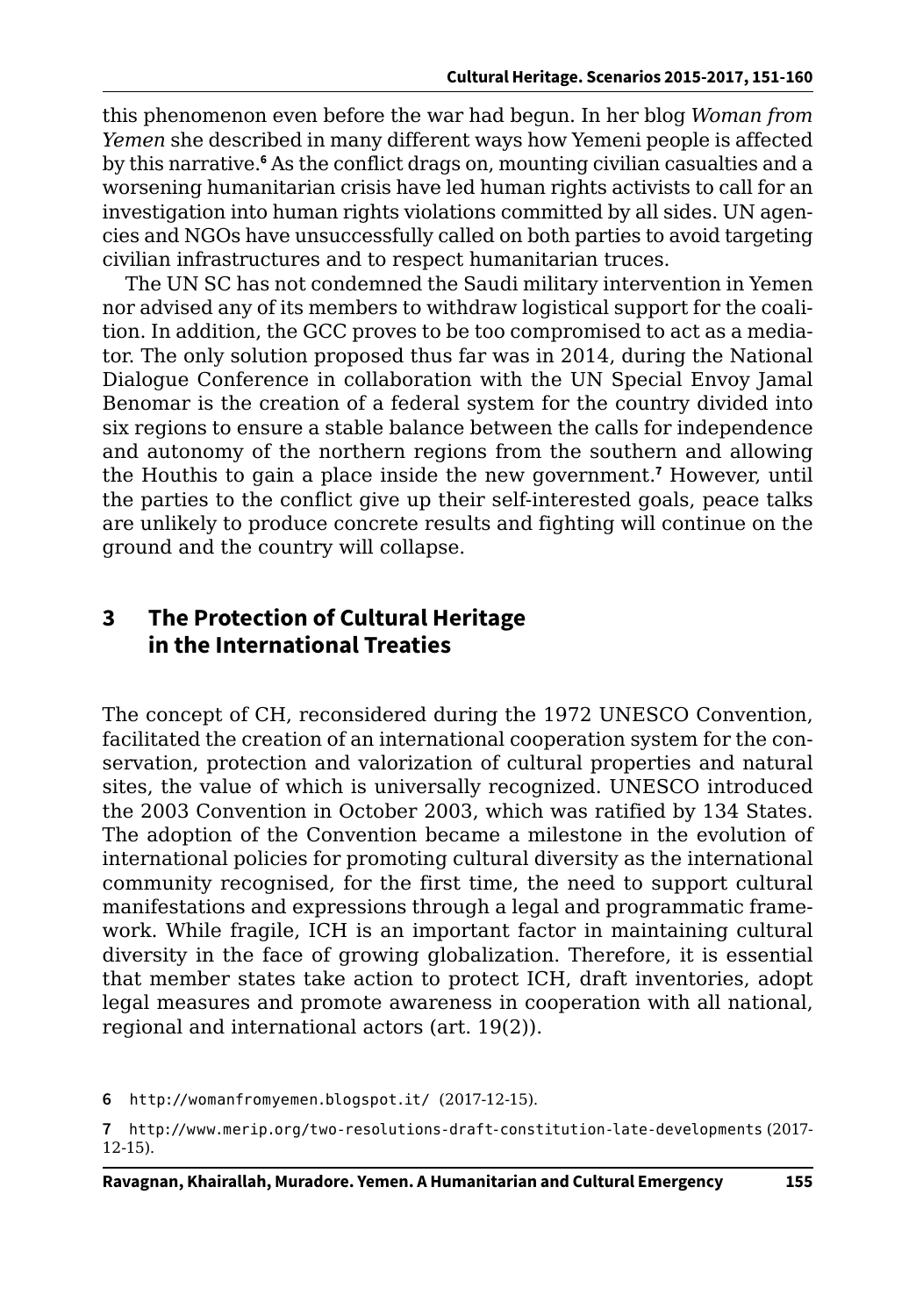this phenomenon even before the war had begun. In her blog *Woman from Yemen* she described in many different ways how Yemeni people is affected by this narrative.<sup>6</sup> As the conflict drags on, mounting civilian casualties and a worsening humanitarian crisis have led human rights activists to call for an investigation into human rights violations committed by all sides. UN agencies and NGOs have unsuccessfully called on both parties to avoid targeting civilian infrastructures and to respect humanitarian truces.

The UN SC has not condemned the Saudi military intervention in Yemen nor advised any of its members to withdraw logistical support for the coalition. In addition, the GCC proves to be too compromised to act as a mediator. The only solution proposed thus far was in 2014, during the National Dialogue Conference in collaboration with the UN Special Envoy Jamal Benomar is the creation of a federal system for the country divided into six regions to ensure a stable balance between the calls for independence and autonomy of the northern regions from the southern and allowing the Houthis to gain a place inside the new government.**<sup>7</sup>** However, until the parties to the conflict give up their self-interested goals, peace talks are unlikely to produce concrete results and fighting will continue on the ground and the country will collapse.

## **3 The Protection of Cultural Heritage in the International Treaties**

The concept of CH, reconsidered during the 1972 UNESCO Convention, facilitated the creation of an international cooperation system for the conservation, protection and valorization of cultural properties and natural sites, the value of which is universally recognized. UNESCO introduced the 2003 Convention in October 2003, which was ratified by 134 States. The adoption of the Convention became a milestone in the evolution of international policies for promoting cultural diversity as the international community recognised, for the first time, the need to support cultural manifestations and expressions through a legal and programmatic framework. While fragile, ICH is an important factor in maintaining cultural diversity in the face of growing globalization. Therefore, it is essential that member states take action to protect ICH, draft inventories, adopt legal measures and promote awareness in cooperation with all national, regional and international actors (art. 19(2)).

**6** [http://womanfromyemen.blogspot.it/](http://womanfromyemen.blogspot.it/ ) (2017-12-15).

**<sup>7</sup>** <http://www.merip.org/two-resolutions-draft-constitution-late-developments> (2017- 12-15).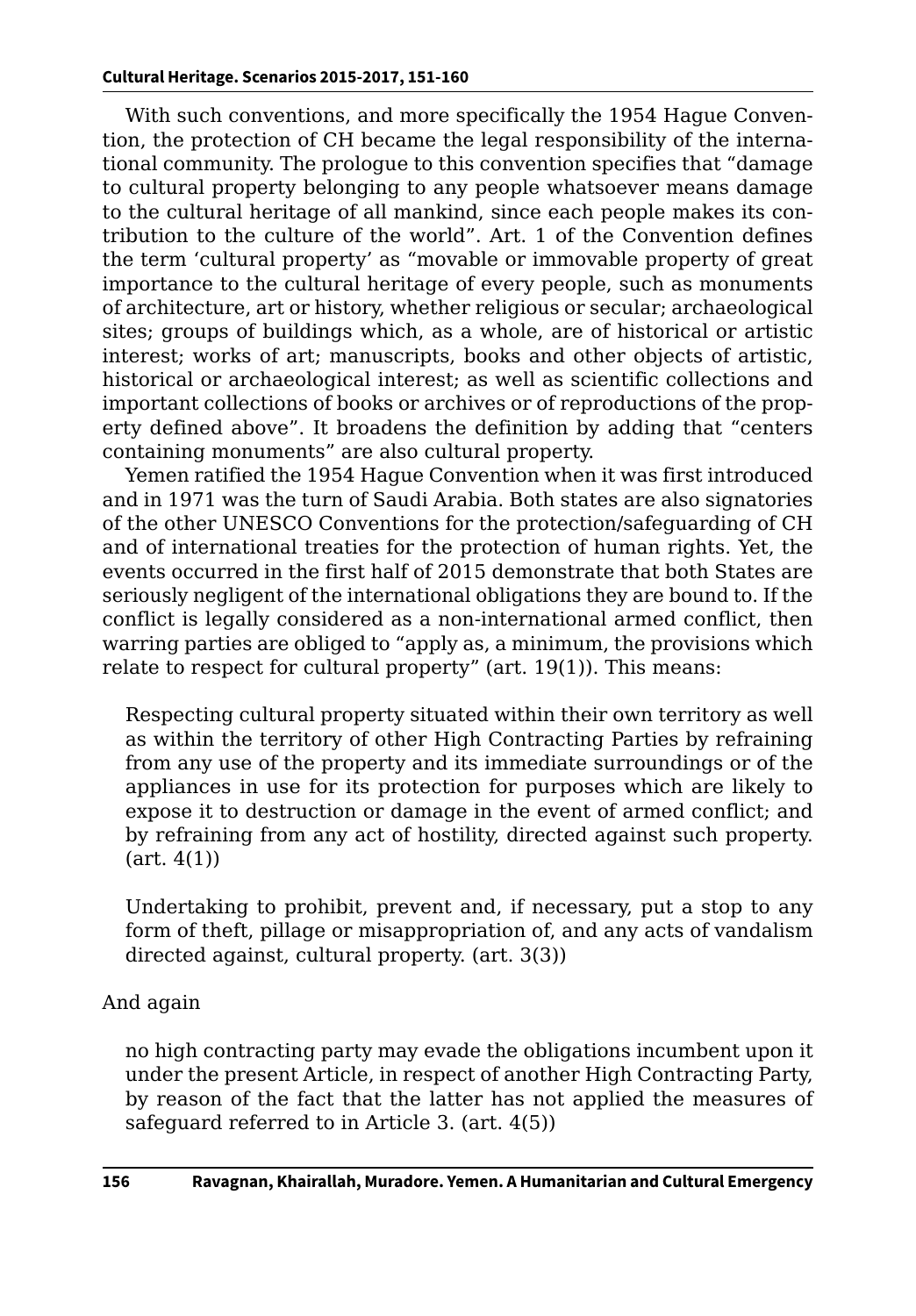With such conventions, and more specifically the 1954 Hague Convention, the protection of CH became the legal responsibility of the international community. The prologue to this convention specifies that "damage to cultural property belonging to any people whatsoever means damage to the cultural heritage of all mankind, since each people makes its contribution to the culture of the world". Art. 1 of the Convention defines the term 'cultural property' as "movable or immovable property of great importance to the cultural heritage of every people, such as monuments of architecture, art or history, whether religious or secular; archaeological sites; groups of buildings which, as a whole, are of historical or artistic interest; works of art; manuscripts, books and other objects of artistic, historical or archaeological interest; as well as scientific collections and important collections of books or archives or of reproductions of the property defined above". It broadens the definition by adding that "centers containing monuments" are also cultural property.

Yemen ratified the 1954 Hague Convention when it was first introduced and in 1971 was the turn of Saudi Arabia. Both states are also signatories of the other UNESCO Conventions for the protection/safeguarding of CH and of international treaties for the protection of human rights. Yet, the events occurred in the first half of 2015 demonstrate that both States are seriously negligent of the international obligations they are bound to. If the conflict is legally considered as a non-international armed conflict, then warring parties are obliged to "apply as, a minimum, the provisions which relate to respect for cultural property" (art. 19(1)). This means:

Respecting cultural property situated within their own territory as well as within the territory of other High Contracting Parties by refraining from any use of the property and its immediate surroundings or of the appliances in use for its protection for purposes which are likely to expose it to destruction or damage in the event of armed conflict; and by refraining from any act of hostility, directed against such property.  $(art. 4(1))$ 

Undertaking to prohibit, prevent and, if necessary, put a stop to any form of theft, pillage or misappropriation of, and any acts of vandalism directed against, cultural property. (art. 3(3))

#### And again

no high contracting party may evade the obligations incumbent upon it under the present Article, in respect of another High Contracting Party, by reason of the fact that the latter has not applied the measures of safeguard referred to in Article 3. (art. 4(5))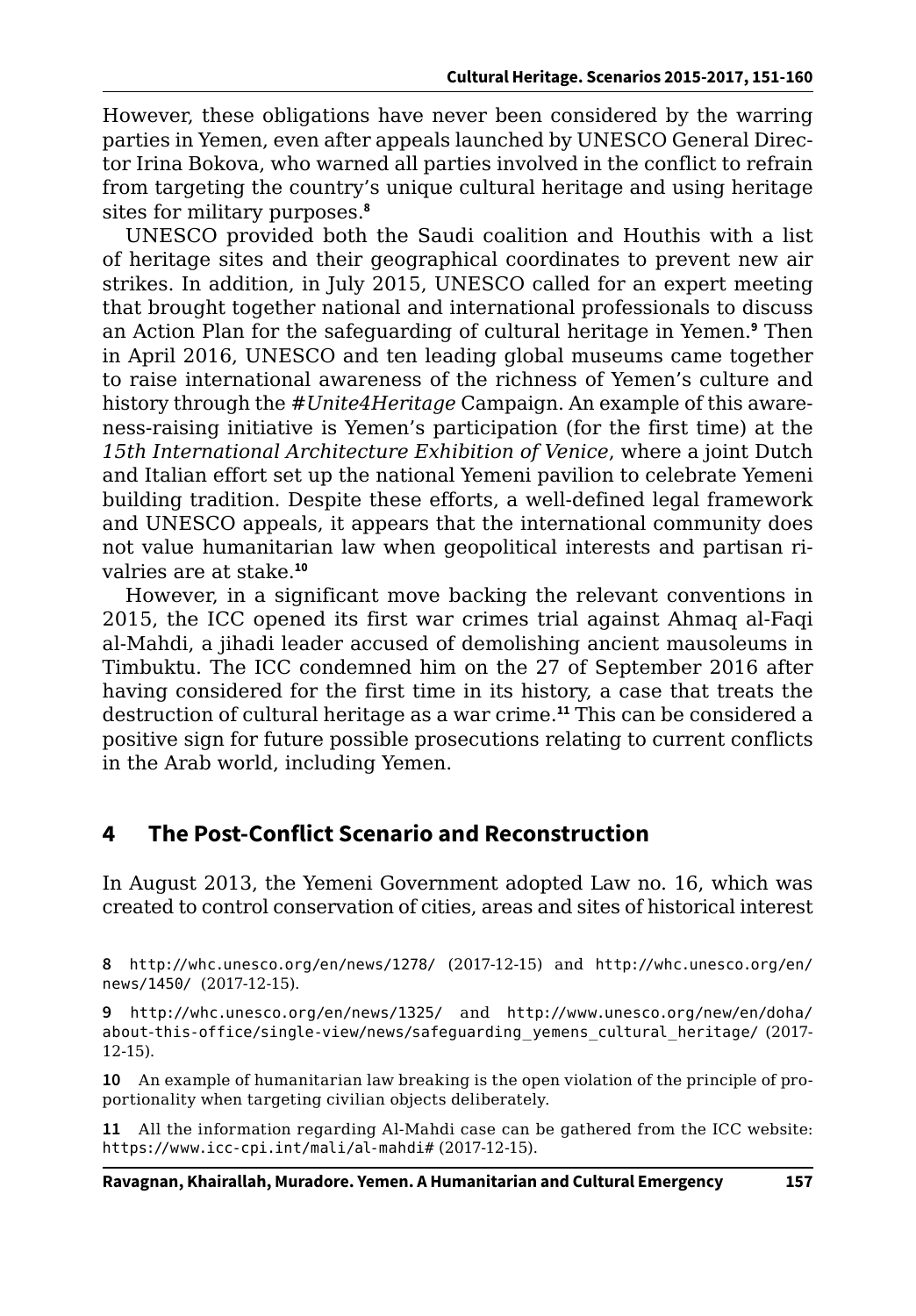However, these obligations have never been considered by the warring parties in Yemen, even after appeals launched by UNESCO General Director Irina Bokova, who warned all parties involved in the conflict to refrain from targeting the country's unique cultural heritage and using heritage sites for military purposes.**<sup>8</sup>**

UNESCO provided both the Saudi coalition and Houthis with a list of heritage sites and their geographical coordinates to prevent new air strikes. In addition, in July 2015, UNESCO called for an expert meeting that brought together national and international professionals to discuss an Action Plan for the safeguarding of cultural heritage in Yemen.**<sup>9</sup>** Then in April 2016, UNESCO and ten leading global museums came together to raise international awareness of the richness of Yemen's culture and history through the *#Unite4Heritage* Campaign. An example of this awareness-raising initiative is Yemen's participation (for the first time) at the *15th International Architecture Exhibition of Venice*, where a joint Dutch and Italian effort set up the national Yemeni pavilion to celebrate Yemeni building tradition. Despite these efforts, a well-defined legal framework and UNESCO appeals, it appears that the international community does not value humanitarian law when geopolitical interests and partisan rivalries are at stake.**<sup>10</sup>**

However, in a significant move backing the relevant conventions in 2015, the ICC opened its first war crimes trial against Ahmaq al-Faqi al-Mahdi, a jihadi leader accused of demolishing ancient mausoleums in Timbuktu. The ICC condemned him on the 27 of September 2016 after having considered for the first time in its history, a case that treats the destruction of cultural heritage as a war crime.**<sup>11</sup>** This can be considered a positive sign for future possible prosecutions relating to current conflicts in the Arab world, including Yemen.

# **4 The Post-Conflict Scenario and Reconstruction**

In August 2013, the Yemeni Government adopted Law no. 16, which was created to control conservation of cities, areas and sites of historical interest

**8** <http://whc.unesco.org/en/news/1278/> (2017-12-15) and [http://whc.unesco.org/en/](http://whc.unesco.org/en/news/1450/) [news/1450/](http://whc.unesco.org/en/news/1450/) (2017-12-15).

**9** <http://whc.unesco.org/en/news/1325/> and [http://www.unesco.org/new/en/doha/](http://www.unesco.org/new/en/doha/about-this-office/single-view/news/safeguarding_yemens_cultural_heritage/) [about-this-office/single-view/news/safeguarding\\_yemens\\_cultural\\_heritage/](http://www.unesco.org/new/en/doha/about-this-office/single-view/news/safeguarding_yemens_cultural_heritage/) (2017- 12-15).

**10** An example of humanitarian law breaking is the open violation of the principle of proportionality when targeting civilian objects deliberately.

**11** All the information regarding Al-Mahdi case can be gathered from the ICC website: <https://www.icc-cpi.int/mali/al-mahdi#> (2017-12-15).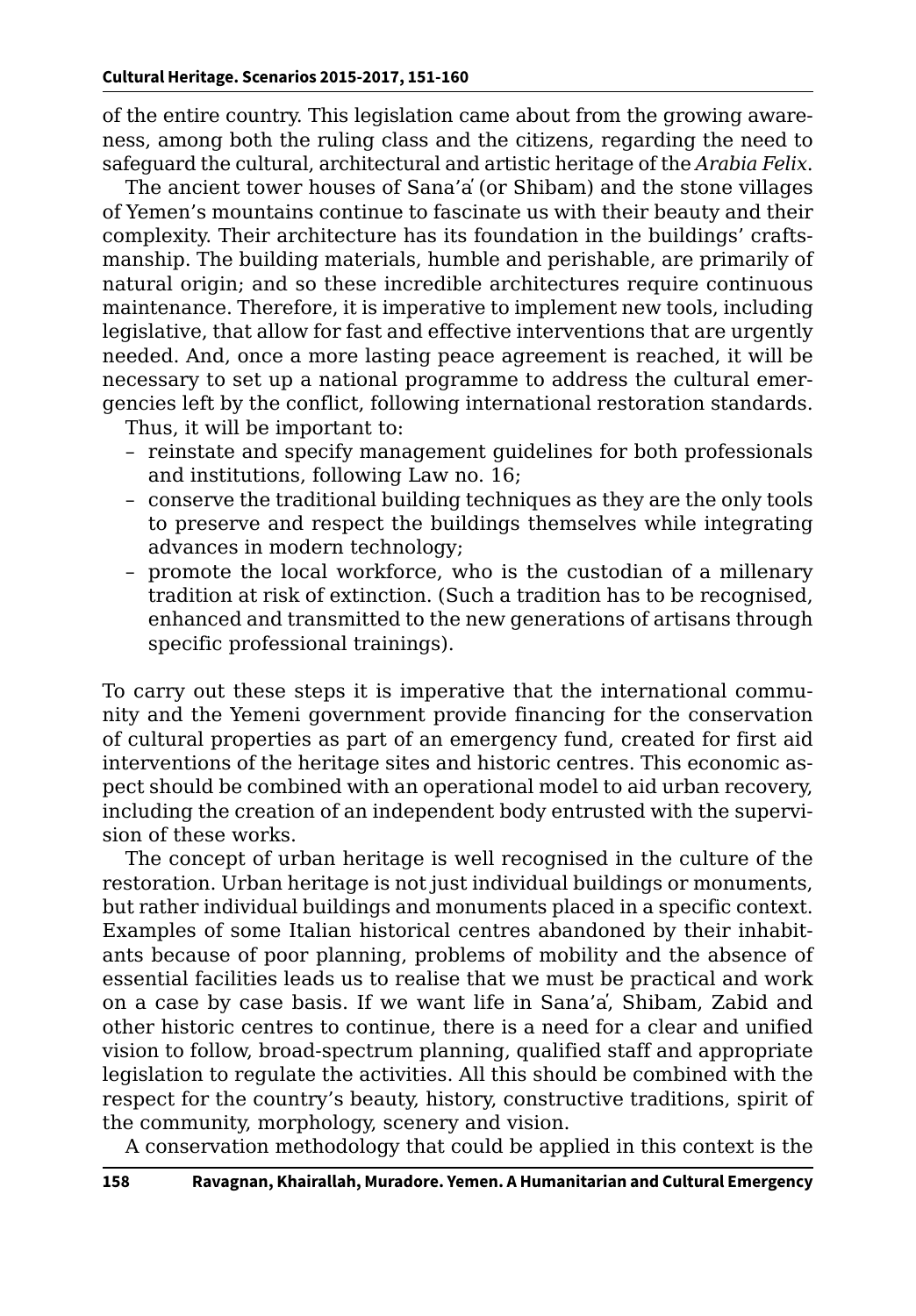of the entire country. This legislation came about from the growing awareness, among both the ruling class and the citizens, regarding the need to safeguard the cultural, architectural and artistic heritage of the *Arabia Felix*.

The ancient tower houses of Sana'a̕ (or Shibam) and the stone villages of Yemen's mountains continue to fascinate us with their beauty and their complexity. Their architecture has its foundation in the buildings' craftsmanship. The building materials, humble and perishable, are primarily of natural origin; and so these incredible architectures require continuous maintenance. Therefore, it is imperative to implement new tools, including legislative, that allow for fast and effective interventions that are urgently needed. And, once a more lasting peace agreement is reached, it will be necessary to set up a national programme to address the cultural emergencies left by the conflict, following international restoration standards.

Thus, it will be important to:

- reinstate and specify management guidelines for both professionals and institutions, following Law no. 16;
- conserve the traditional building techniques as they are the only tools to preserve and respect the buildings themselves while integrating advances in modern technology;
- promote the local workforce, who is the custodian of a millenary tradition at risk of extinction. (Such a tradition has to be recognised, enhanced and transmitted to the new generations of artisans through specific professional trainings).

To carry out these steps it is imperative that the international community and the Yemeni government provide financing for the conservation of cultural properties as part of an emergency fund, created for first aid interventions of the heritage sites and historic centres. This economic aspect should be combined with an operational model to aid urban recovery, including the creation of an independent body entrusted with the supervision of these works.

The concept of urban heritage is well recognised in the culture of the restoration. Urban heritage is not just individual buildings or monuments, but rather individual buildings and monuments placed in a specific context. Examples of some Italian historical centres abandoned by their inhabitants because of poor planning, problems of mobility and the absence of essential facilities leads us to realise that we must be practical and work on a case by case basis. If we want life in Sana'a̕, Shibam, Zabid and other historic centres to continue, there is a need for a clear and unified vision to follow, broad-spectrum planning, qualified staff and appropriate legislation to regulate the activities. All this should be combined with the respect for the country's beauty, history, constructive traditions, spirit of the community, morphology, scenery and vision.

A conservation methodology that could be applied in this context is the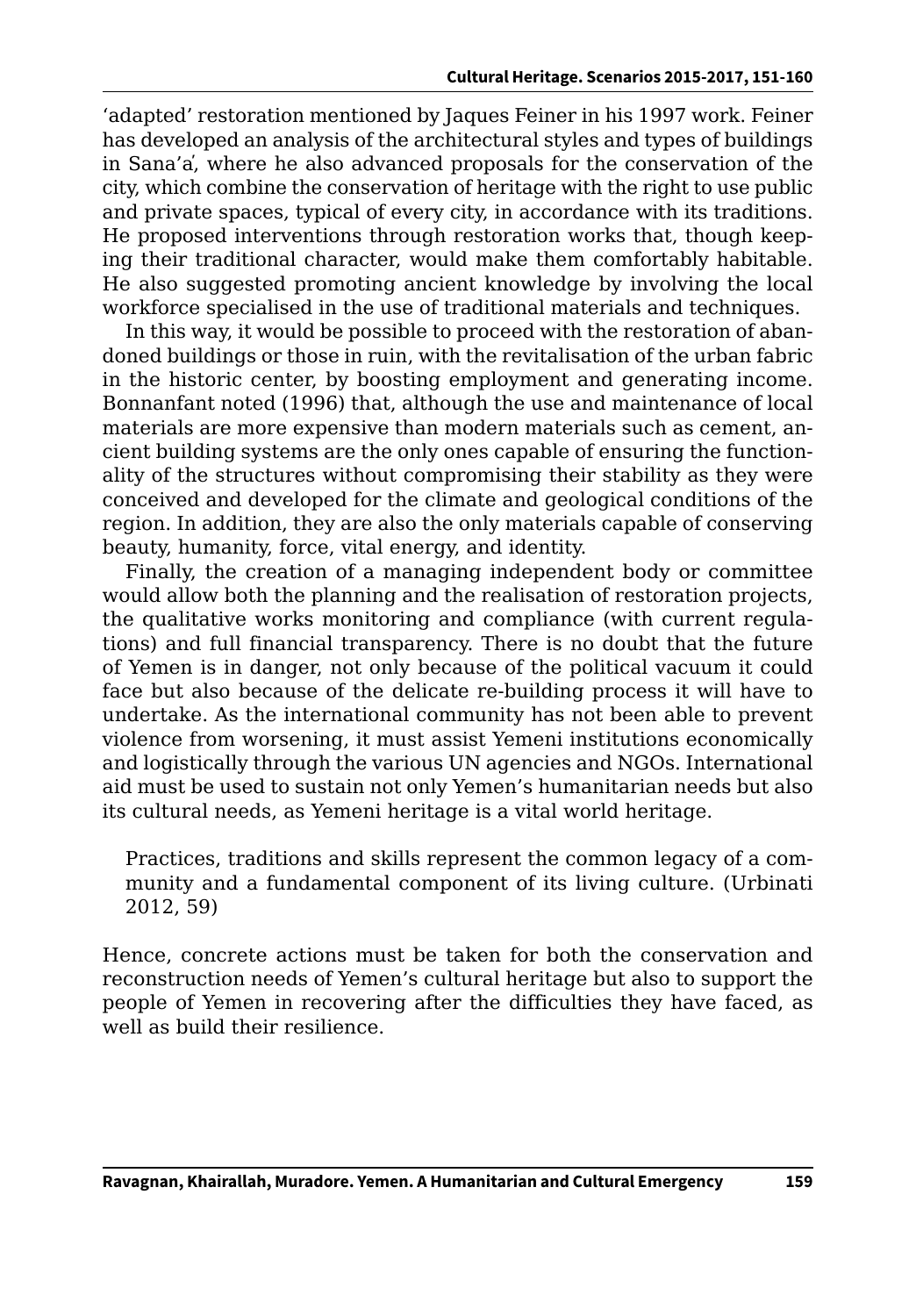'adapted' restoration mentioned by Jaques Feiner in his 1997 work. Feiner has developed an analysis of the architectural styles and types of buildings in Sana'a̕, where he also advanced proposals for the conservation of the city, which combine the conservation of heritage with the right to use public and private spaces, typical of every city, in accordance with its traditions. He proposed interventions through restoration works that, though keeping their traditional character, would make them comfortably habitable. He also suggested promoting ancient knowledge by involving the local workforce specialised in the use of traditional materials and techniques.

In this way, it would be possible to proceed with the restoration of abandoned buildings or those in ruin, with the revitalisation of the urban fabric in the historic center, by boosting employment and generating income. Bonnanfant noted (1996) that, although the use and maintenance of local materials are more expensive than modern materials such as cement, ancient building systems are the only ones capable of ensuring the functionality of the structures without compromising their stability as they were conceived and developed for the climate and geological conditions of the region. In addition, they are also the only materials capable of conserving beauty, humanity, force, vital energy, and identity.

Finally, the creation of a managing independent body or committee would allow both the planning and the realisation of restoration projects, the qualitative works monitoring and compliance (with current regulations) and full financial transparency. There is no doubt that the future of Yemen is in danger, not only because of the political vacuum it could face but also because of the delicate re-building process it will have to undertake. As the international community has not been able to prevent violence from worsening, it must assist Yemeni institutions economically and logistically through the various UN agencies and NGOs. International aid must be used to sustain not only Yemen's humanitarian needs but also its cultural needs, as Yemeni heritage is a vital world heritage.

Practices, traditions and skills represent the common legacy of a community and a fundamental component of its living culture. (Urbinati 2012, 59)

Hence, concrete actions must be taken for both the conservation and reconstruction needs of Yemen's cultural heritage but also to support the people of Yemen in recovering after the difficulties they have faced, as well as build their resilience.